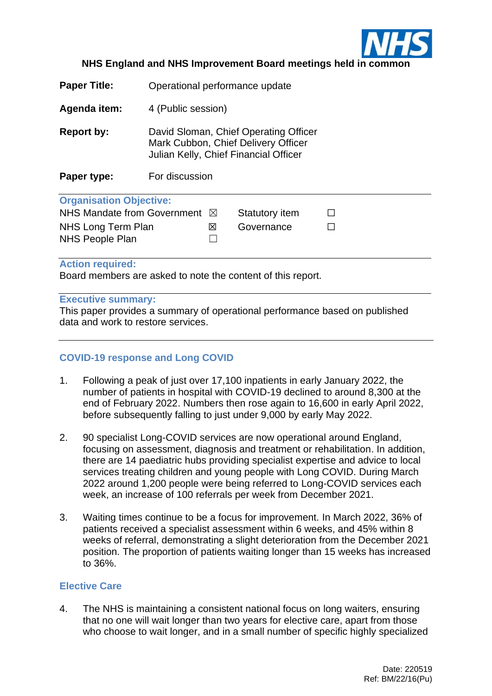

## **NHS England and NHS Improvement Board meetings held in common**

| <b>Paper Title:</b>            | Operational performance update                                                                                                          |             |                |  |  |  |  |
|--------------------------------|-----------------------------------------------------------------------------------------------------------------------------------------|-------------|----------------|--|--|--|--|
| Agenda item:                   | 4 (Public session)                                                                                                                      |             |                |  |  |  |  |
| Report by:<br>Paper type:      | David Sloman, Chief Operating Officer<br>Mark Cubbon, Chief Delivery Officer<br>Julian Kelly, Chief Financial Officer<br>For discussion |             |                |  |  |  |  |
| <b>Organisation Objective:</b> |                                                                                                                                         |             |                |  |  |  |  |
| NHS Mandate from Government    |                                                                                                                                         | $\boxtimes$ | Statutory item |  |  |  |  |
| NHS Long Term Plan             |                                                                                                                                         | ⊠           | Governance     |  |  |  |  |
| <b>NHS People Plan</b>         |                                                                                                                                         |             |                |  |  |  |  |

#### **Action required:**

Board members are asked to note the content of this report.

#### **Executive summary:**

This paper provides a summary of operational performance based on published data and work to restore services.

# **COVID-19 response and Long COVID**

- 1. Following a peak of just over 17,100 inpatients in early January 2022, the number of patients in hospital with COVID-19 declined to around 8,300 at the end of February 2022. Numbers then rose again to 16,600 in early April 2022, before subsequently falling to just under 9,000 by early May 2022.
- 2. 90 specialist Long-COVID services are now operational around England, focusing on assessment, diagnosis and treatment or rehabilitation. In addition, there are 14 paediatric hubs providing specialist expertise and advice to local services treating children and young people with Long COVID. During March 2022 around 1,200 people were being referred to Long-COVID services each week, an increase of 100 referrals per week from December 2021.
- 3. Waiting times continue to be a focus for improvement. In March 2022, 36% of patients received a specialist assessment within 6 weeks, and 45% within 8 weeks of referral, demonstrating a slight deterioration from the December 2021 position. The proportion of patients waiting longer than 15 weeks has increased to 36%.

#### **Elective Care**

4. The NHS is maintaining a consistent national focus on long waiters, ensuring that no one will wait longer than two years for elective care, apart from those who choose to wait longer, and in a small number of specific highly specialized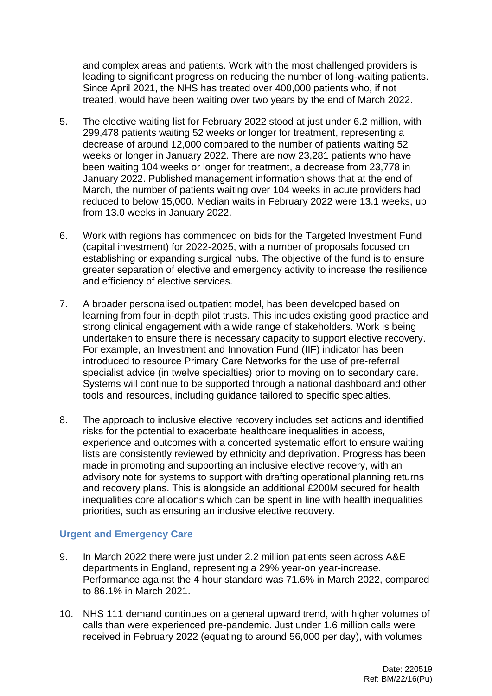and complex areas and patients. Work with the most challenged providers is leading to significant progress on reducing the number of long-waiting patients. Since April 2021, the NHS has treated over 400,000 patients who, if not treated, would have been waiting over two years by the end of March 2022.

- 5. The elective waiting list for February 2022 stood at just under 6.2 million, with 299,478 patients waiting 52 weeks or longer for treatment, representing a decrease of around 12,000 compared to the number of patients waiting 52 weeks or longer in January 2022. There are now 23,281 patients who have been waiting 104 weeks or longer for treatment, a decrease from 23,778 in January 2022. Published management information shows that at the end of March, the number of patients waiting over 104 weeks in acute providers had reduced to below 15,000. Median waits in February 2022 were 13.1 weeks, up from 13.0 weeks in January 2022.
- 6. Work with regions has commenced on bids for the Targeted Investment Fund (capital investment) for 2022-2025, with a number of proposals focused on establishing or expanding surgical hubs. The objective of the fund is to ensure greater separation of elective and emergency activity to increase the resilience and efficiency of elective services.
- 7. A broader personalised outpatient model, has been developed based on learning from four in-depth pilot trusts. This includes existing good practice and strong clinical engagement with a wide range of stakeholders. Work is being undertaken to ensure there is necessary capacity to support elective recovery. For example, an Investment and Innovation Fund (IIF) indicator has been introduced to resource Primary Care Networks for the use of pre-referral specialist advice (in twelve specialties) prior to moving on to secondary care. Systems will continue to be supported through a national dashboard and other tools and resources, including guidance tailored to specific specialties.
- 8. The approach to inclusive elective recovery includes set actions and identified risks for the potential to exacerbate healthcare inequalities in access, experience and outcomes with a concerted systematic effort to ensure waiting lists are consistently reviewed by ethnicity and deprivation. Progress has been made in promoting and supporting an inclusive elective recovery, with an advisory note for systems to support with drafting operational planning returns and recovery plans. This is alongside an additional £200M secured for health inequalities core allocations which can be spent in line with health inequalities priorities, such as ensuring an inclusive elective recovery.

## **Urgent and Emergency Care**

- 9. In March 2022 there were just under 2.2 million patients seen across A&E departments in England, representing a 29% year-on year-increase. Performance against the 4 hour standard was 71.6% in March 2022, compared to 86.1% in March 2021.
- 10. NHS 111 demand continues on a general upward trend, with higher volumes of calls than were experienced pre-pandemic. Just under 1.6 million calls were received in February 2022 (equating to around 56,000 per day), with volumes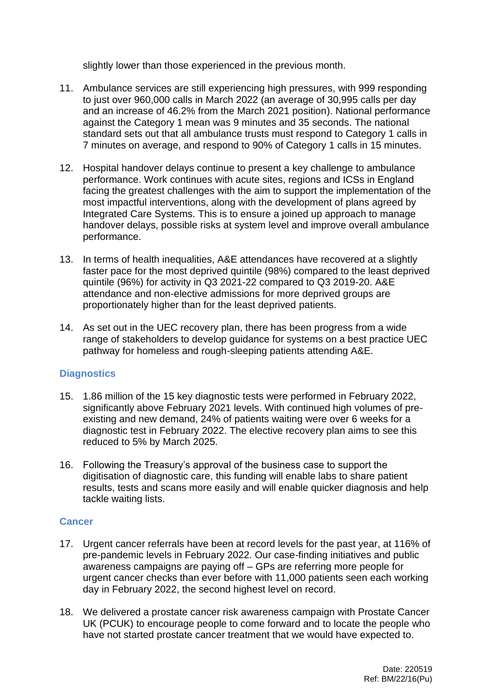slightly lower than those experienced in the previous month.

- 11. Ambulance services are still experiencing high pressures, with 999 responding to just over 960,000 calls in March 2022 (an average of 30,995 calls per day and an increase of 46.2% from the March 2021 position). National performance against the Category 1 mean was 9 minutes and 35 seconds. The national standard sets out that all ambulance trusts must respond to Category 1 calls in 7 minutes on average, and respond to 90% of Category 1 calls in 15 minutes.
- 12. Hospital handover delays continue to present a key challenge to ambulance performance. Work continues with acute sites, regions and ICSs in England facing the greatest challenges with the aim to support the implementation of the most impactful interventions, along with the development of plans agreed by Integrated Care Systems. This is to ensure a joined up approach to manage handover delays, possible risks at system level and improve overall ambulance performance.
- 13. In terms of health inequalities, A&E attendances have recovered at a slightly faster pace for the most deprived quintile (98%) compared to the least deprived quintile (96%) for activity in Q3 2021-22 compared to Q3 2019-20. A&E attendance and non-elective admissions for more deprived groups are proportionately higher than for the least deprived patients.
- 14. As set out in the UEC recovery plan, there has been progress from a wide range of stakeholders to develop guidance for systems on a best practice UEC pathway for homeless and rough-sleeping patients attending A&E.

# **Diagnostics**

- 15. 1.86 million of the 15 key diagnostic tests were performed in February 2022, significantly above February 2021 levels. With continued high volumes of preexisting and new demand, 24% of patients waiting were over 6 weeks for a diagnostic test in February 2022. The elective recovery plan aims to see this reduced to 5% by March 2025.
- 16. Following the Treasury's approval of the business case to support the digitisation of diagnostic care, this funding will enable labs to share patient results, tests and scans more easily and will enable quicker diagnosis and help tackle waiting lists.

# **Cancer**

- 17. Urgent cancer referrals have been at record levels for the past year, at 116% of pre-pandemic levels in February 2022. Our case-finding initiatives and public awareness campaigns are paying off – GPs are referring more people for urgent cancer checks than ever before with 11,000 patients seen each working day in February 2022, the second highest level on record.
- 18. We delivered a prostate cancer risk awareness campaign with Prostate Cancer UK (PCUK) to encourage people to come forward and to locate the people who have not started prostate cancer treatment that we would have expected to.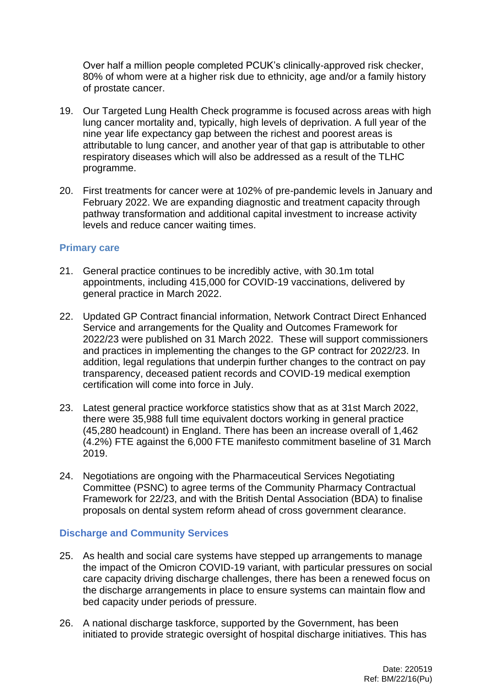Over half a million people completed PCUK's clinically-approved risk checker, 80% of whom were at a higher risk due to ethnicity, age and/or a family history of prostate cancer.

- 19. Our Targeted Lung Health Check programme is focused across areas with high lung cancer mortality and, typically, high levels of deprivation. A full year of the nine year life expectancy gap between the richest and poorest areas is attributable to lung cancer, and another year of that gap is attributable to other respiratory diseases which will also be addressed as a result of the TLHC programme.
- 20. First treatments for cancer were at 102% of pre-pandemic levels in January and February 2022. We are expanding diagnostic and treatment capacity through pathway transformation and additional capital investment to increase activity levels and reduce cancer waiting times.

## **Primary care**

- 21. General practice continues to be incredibly active, with 30.1m total appointments, including 415,000 for COVID-19 vaccinations, delivered by general practice in March 2022.
- 22. Updated GP Contract financial information, Network Contract Direct Enhanced Service and arrangements for the Quality and Outcomes Framework for 2022/23 were published on 31 March 2022. These will support commissioners and practices in implementing the changes to the GP contract for 2022/23. In addition, legal regulations that underpin further changes to the contract on pay transparency, deceased patient records and COVID-19 medical exemption certification will come into force in July.
- 23. Latest general practice workforce statistics show that as at 31st March 2022, there were 35,988 full time equivalent doctors working in general practice (45,280 headcount) in England. There has been an increase overall of 1,462 (4.2%) FTE against the 6,000 FTE manifesto commitment baseline of 31 March 2019.
- 24. Negotiations are ongoing with the Pharmaceutical Services Negotiating Committee (PSNC) to agree terms of the Community Pharmacy Contractual Framework for 22/23, and with the British Dental Association (BDA) to finalise proposals on dental system reform ahead of cross government clearance.

## **Discharge and Community Services**

- 25. As health and social care systems have stepped up arrangements to manage the impact of the Omicron COVID-19 variant, with particular pressures on social care capacity driving discharge challenges, there has been a renewed focus on the discharge arrangements in place to ensure systems can maintain flow and bed capacity under periods of pressure.
- 26. A national discharge taskforce, supported by the Government, has been initiated to provide strategic oversight of hospital discharge initiatives. This has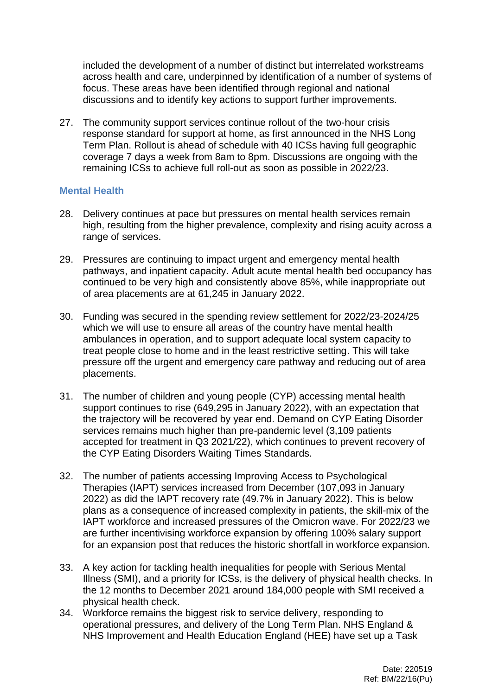included the development of a number of distinct but interrelated workstreams across health and care, underpinned by identification of a number of systems of focus. These areas have been identified through regional and national discussions and to identify key actions to support further improvements.

27. The community support services continue rollout of the two-hour crisis response standard for support at home, as first announced in the NHS Long Term Plan. Rollout is ahead of schedule with 40 ICSs having full geographic coverage 7 days a week from 8am to 8pm. Discussions are ongoing with the remaining ICSs to achieve full roll-out as soon as possible in 2022/23.

### **Mental Health**

- 28. Delivery continues at pace but pressures on mental health services remain high, resulting from the higher prevalence, complexity and rising acuity across a range of services.
- 29. Pressures are continuing to impact urgent and emergency mental health pathways, and inpatient capacity. Adult acute mental health bed occupancy has continued to be very high and consistently above 85%, while inappropriate out of area placements are at 61,245 in January 2022.
- 30. Funding was secured in the spending review settlement for 2022/23-2024/25 which we will use to ensure all areas of the country have mental health ambulances in operation, and to support adequate local system capacity to treat people close to home and in the least restrictive setting. This will take pressure off the urgent and emergency care pathway and reducing out of area placements.
- 31. The number of children and young people (CYP) accessing mental health support continues to rise (649,295 in January 2022), with an expectation that the trajectory will be recovered by year end. Demand on CYP Eating Disorder services remains much higher than pre-pandemic level (3,109 patients accepted for treatment in Q3 2021/22), which continues to prevent recovery of the CYP Eating Disorders Waiting Times Standards.
- 32. The number of patients accessing Improving Access to Psychological Therapies (IAPT) services increased from December (107,093 in January 2022) as did the IAPT recovery rate (49.7% in January 2022). This is below plans as a consequence of increased complexity in patients, the skill-mix of the IAPT workforce and increased pressures of the Omicron wave. For 2022/23 we are further incentivising workforce expansion by offering 100% salary support for an expansion post that reduces the historic shortfall in workforce expansion.
- 33. A key action for tackling health inequalities for people with Serious Mental Illness (SMI), and a priority for ICSs, is the delivery of physical health checks. In the 12 months to December 2021 around 184,000 people with SMI received a physical health check.
- 34. Workforce remains the biggest risk to service delivery, responding to operational pressures, and delivery of the Long Term Plan. NHS England & NHS Improvement and Health Education England (HEE) have set up a Task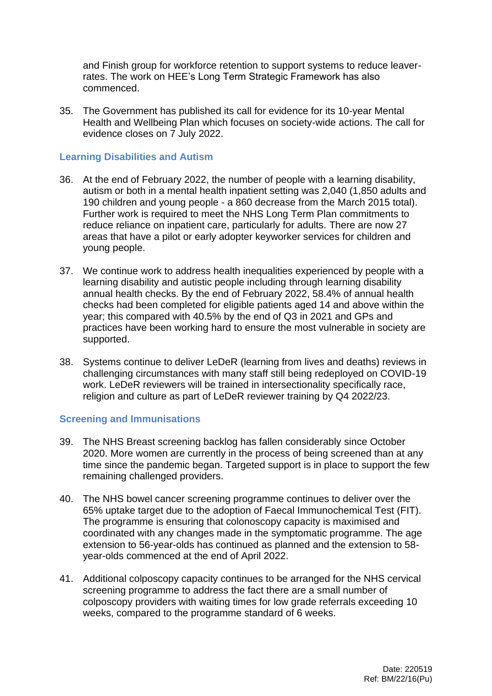and Finish group for workforce retention to support systems to reduce leaverrates. The work on HEE's Long Term Strategic Framework has also commenced.

35. The Government has published its call for evidence for its 10-year Mental Health and Wellbeing Plan which focuses on society-wide actions. The call for evidence closes on 7 July 2022.

## **Learning Disabilities and Autism**

- 36. At the end of February 2022, the number of people with a learning disability, autism or both in a mental health inpatient setting was 2,040 (1,850 adults and 190 children and young people - a 860 decrease from the March 2015 total). Further work is required to meet the NHS Long Term Plan commitments to reduce reliance on inpatient care, particularly for adults. There are now 27 areas that have a pilot or early adopter keyworker services for children and young people.
- 37. We continue work to address health inequalities experienced by people with a learning disability and autistic people including through learning disability annual health checks. By the end of February 2022, 58.4% of annual health checks had been completed for eligible patients aged 14 and above within the year; this compared with 40.5% by the end of Q3 in 2021 and GPs and practices have been working hard to ensure the most vulnerable in society are supported.
- 38. Systems continue to deliver LeDeR (learning from lives and deaths) reviews in challenging circumstances with many staff still being redeployed on COVID-19 work. LeDeR reviewers will be trained in intersectionality specifically race, religion and culture as part of LeDeR reviewer training by Q4 2022/23.

## **Screening and Immunisations**

- 39. The NHS Breast screening backlog has fallen considerably since October 2020. More women are currently in the process of being screened than at any time since the pandemic began. Targeted support is in place to support the few remaining challenged providers.
- 40. The NHS bowel cancer screening programme continues to deliver over the 65% uptake target due to the adoption of Faecal Immunochemical Test (FIT). The programme is ensuring that colonoscopy capacity is maximised and coordinated with any changes made in the symptomatic programme. The age extension to 56-year-olds has continued as planned and the extension to 58 year-olds commenced at the end of April 2022.
- 41. Additional colposcopy capacity continues to be arranged for the NHS cervical screening programme to address the fact there are a small number of colposcopy providers with waiting times for low grade referrals exceeding 10 weeks, compared to the programme standard of 6 weeks.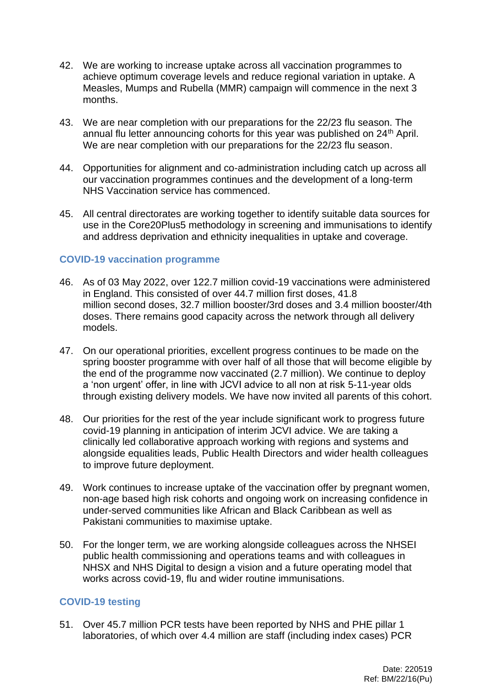- 42. We are working to increase uptake across all vaccination programmes to achieve optimum coverage levels and reduce regional variation in uptake. A Measles, Mumps and Rubella (MMR) campaign will commence in the next 3 months.
- 43. We are near completion with our preparations for the 22/23 flu season. The annual flu letter announcing cohorts for this year was published on 24<sup>th</sup> April. We are near completion with our preparations for the 22/23 flu season.
- 44. Opportunities for alignment and co-administration including catch up across all our vaccination programmes continues and the development of a long-term NHS Vaccination service has commenced.
- 45. All central directorates are working together to identify suitable data sources for use in the Core20Plus5 methodology in screening and immunisations to identify and address deprivation and ethnicity inequalities in uptake and coverage.

## **COVID-19 vaccination programme**

- 46. As of 03 May 2022, over 122.7 million covid-19 vaccinations were administered in England. This consisted of over 44.7 million first doses, 41.8 million second doses, 32.7 million booster/3rd doses and 3.4 million booster/4th doses. There remains good capacity across the network through all delivery models.
- 47. On our operational priorities, excellent progress continues to be made on the spring booster programme with over half of all those that will become eligible by the end of the programme now vaccinated (2.7 million). We continue to deploy a 'non urgent' offer, in line with JCVI advice to all non at risk 5-11-year olds through existing delivery models. We have now invited all parents of this cohort.
- 48. Our priorities for the rest of the year include significant work to progress future covid-19 planning in anticipation of interim JCVI advice. We are taking a clinically led collaborative approach working with regions and systems and alongside equalities leads, Public Health Directors and wider health colleagues to improve future deployment.
- 49. Work continues to increase uptake of the vaccination offer by pregnant women, non-age based high risk cohorts and ongoing work on increasing confidence in under-served communities like African and Black Caribbean as well as Pakistani communities to maximise uptake.
- 50. For the longer term, we are working alongside colleagues across the NHSEI public health commissioning and operations teams and with colleagues in NHSX and NHS Digital to design a vision and a future operating model that works across covid-19, flu and wider routine immunisations.

## **COVID-19 testing**

51. Over 45.7 million PCR tests have been reported by NHS and PHE pillar 1 laboratories, of which over 4.4 million are staff (including index cases) PCR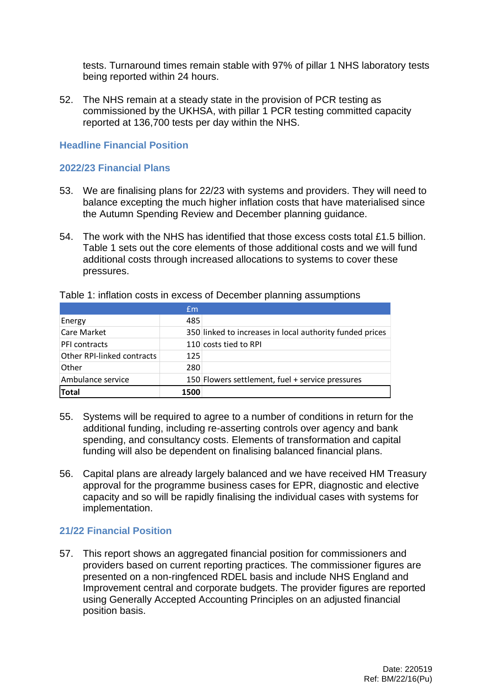tests. Turnaround times remain stable with 97% of pillar 1 NHS laboratory tests being reported within 24 hours.

52. The NHS remain at a steady state in the provision of PCR testing as commissioned by the UKHSA, with pillar 1 PCR testing committed capacity reported at 136,700 tests per day within the NHS.

### **Headline Financial Position**

## **2022/23 Financial Plans**

- 53. We are finalising plans for 22/23 with systems and providers. They will need to balance excepting the much higher inflation costs that have materialised since the Autumn Spending Review and December planning guidance.
- 54. The work with the NHS has identified that those excess costs total £1.5 billion. Table 1 sets out the core elements of those additional costs and we will fund additional costs through increased allocations to systems to cover these pressures.

|                            | Em   |                                                          |
|----------------------------|------|----------------------------------------------------------|
| Energy                     | 485  |                                                          |
| Care Market                |      | 350 linked to increases in local authority funded prices |
| <b>PFI</b> contracts       |      | 110 costs tied to RPI                                    |
| Other RPI-linked contracts | 125  |                                                          |
| Other                      | 280  |                                                          |
| Ambulance service          |      | 150 Flowers settlement, fuel + service pressures         |
| Total                      | 1500 |                                                          |

Table 1: inflation costs in excess of December planning assumptions

- 55. Systems will be required to agree to a number of conditions in return for the additional funding, including re-asserting controls over agency and bank spending, and consultancy costs. Elements of transformation and capital funding will also be dependent on finalising balanced financial plans.
- 56. Capital plans are already largely balanced and we have received HM Treasury approval for the programme business cases for EPR, diagnostic and elective capacity and so will be rapidly finalising the individual cases with systems for implementation.

# **21/22 Financial Position**

57. This report shows an aggregated financial position for commissioners and providers based on current reporting practices. The commissioner figures are presented on a non-ringfenced RDEL basis and include NHS England and Improvement central and corporate budgets. The provider figures are reported using Generally Accepted Accounting Principles on an adjusted financial position basis.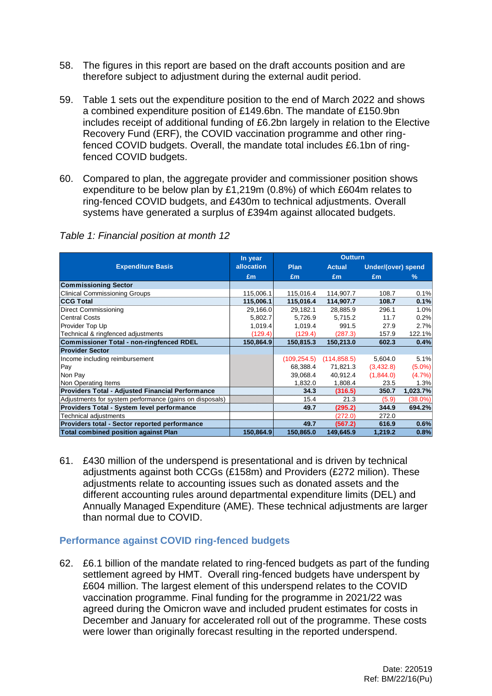- 58. The figures in this report are based on the draft accounts position and are therefore subject to adjustment during the external audit period.
- 59. Table 1 sets out the expenditure position to the end of March 2022 and shows a combined expenditure position of £149.6bn. The mandate of £150.9bn includes receipt of additional funding of £6.2bn largely in relation to the Elective Recovery Fund (ERF), the COVID vaccination programme and other ringfenced COVID budgets. Overall, the mandate total includes £6.1bn of ringfenced COVID budgets.
- 60. Compared to plan, the aggregate provider and commissioner position shows expenditure to be below plan by £1,219m (0.8%) of which £604m relates to ring-fenced COVID budgets, and £430m to technical adjustments. Overall systems have generated a surplus of £394m against allocated budgets.

|                                                         | In year    | <b>Outturn</b> |               |                    |            |
|---------------------------------------------------------|------------|----------------|---------------|--------------------|------------|
| <b>Expenditure Basis</b>                                | allocation | <b>Plan</b>    | <b>Actual</b> | Under/(over) spend |            |
|                                                         | Em         | Em             | Em            | Em                 | $\%$       |
| <b>Commissioning Sector</b>                             |            |                |               |                    |            |
| <b>Clinical Commissioning Groups</b>                    | 115,006.1  | 115,016.4      | 114,907.7     | 108.7              | 0.1%       |
| <b>CCG Total</b>                                        | 115,006.1  | 115,016.4      | 114,907.7     | 108.7              | 0.1%       |
| <b>Direct Commissioning</b>                             | 29,166.0   | 29,182.1       | 28,885.9      | 296.1              | 1.0%       |
| <b>Central Costs</b>                                    | 5,802.7    | 5,726.9        | 5,715.2       | 11.7               | 0.2%       |
| Provider Top Up                                         | 1,019.4    | 1,019.4        | 991.5         | 27.9               | 2.7%       |
| Technical & ringfenced adjustments                      | (129.4)    | (129.4)        | (287.3)       | 157.9              | 122.1%     |
| <b>Commissioner Total - non-ringfenced RDEL</b>         | 150,864.9  | 150,815.3      | 150,213.0     | 602.3              | 0.4%       |
| <b>Provider Sector</b>                                  |            |                |               |                    |            |
| Income including reimbursement                          |            | (109, 254.5)   | (114, 858.5)  | 5,604.0            | 5.1%       |
| Pay                                                     |            | 68,388.4       | 71,821.3      | (3,432.8)          | $(5.0\%)$  |
| Non Pay                                                 |            | 39,068.4       | 40,912.4      | (1,844.0)          | (4.7%)     |
| Non Operating Items                                     |            | 1,832.0        | 1,808.4       | 23.5               | 1.3%       |
| <b>Providers Total - Adjusted Financial Performance</b> |            | 34.3           | (316.5)       | 350.7              | 1,023.7%   |
| Adjustments for system performance (gains on disposals) |            | 15.4           | 21.3          | (5.9)              | $(38.0\%)$ |
| Providers Total - System level performance              |            | 49.7           | (295.2)       | 344.9              | 694.2%     |
| Technical adjustments                                   |            |                | (272.0)       | 272.0              |            |
| Providers total - Sector reported performance           |            | 49.7           | (567.2)       | 616.9              | 0.6%       |
| <b>Total combined position against Plan</b>             | 150,864.9  | 150,865.0      | 149,645.9     | 1,219.2            | 0.8%       |

61. £430 million of the underspend is presentational and is driven by technical adjustments against both CCGs (£158m) and Providers (£272 milion). These adjustments relate to accounting issues such as donated assets and the different accounting rules around departmental expenditure limits (DEL) and Annually Managed Expenditure (AME). These technical adjustments are larger than normal due to COVID.

## **Performance against COVID ring-fenced budgets**

62. £6.1 billion of the mandate related to ring-fenced budgets as part of the funding settlement agreed by HMT. Overall ring-fenced budgets have underspent by £604 million. The largest element of this underspend relates to the COVID vaccination programme. Final funding for the programme in 2021/22 was agreed during the Omicron wave and included prudent estimates for costs in December and January for accelerated roll out of the programme. These costs were lower than originally forecast resulting in the reported underspend.